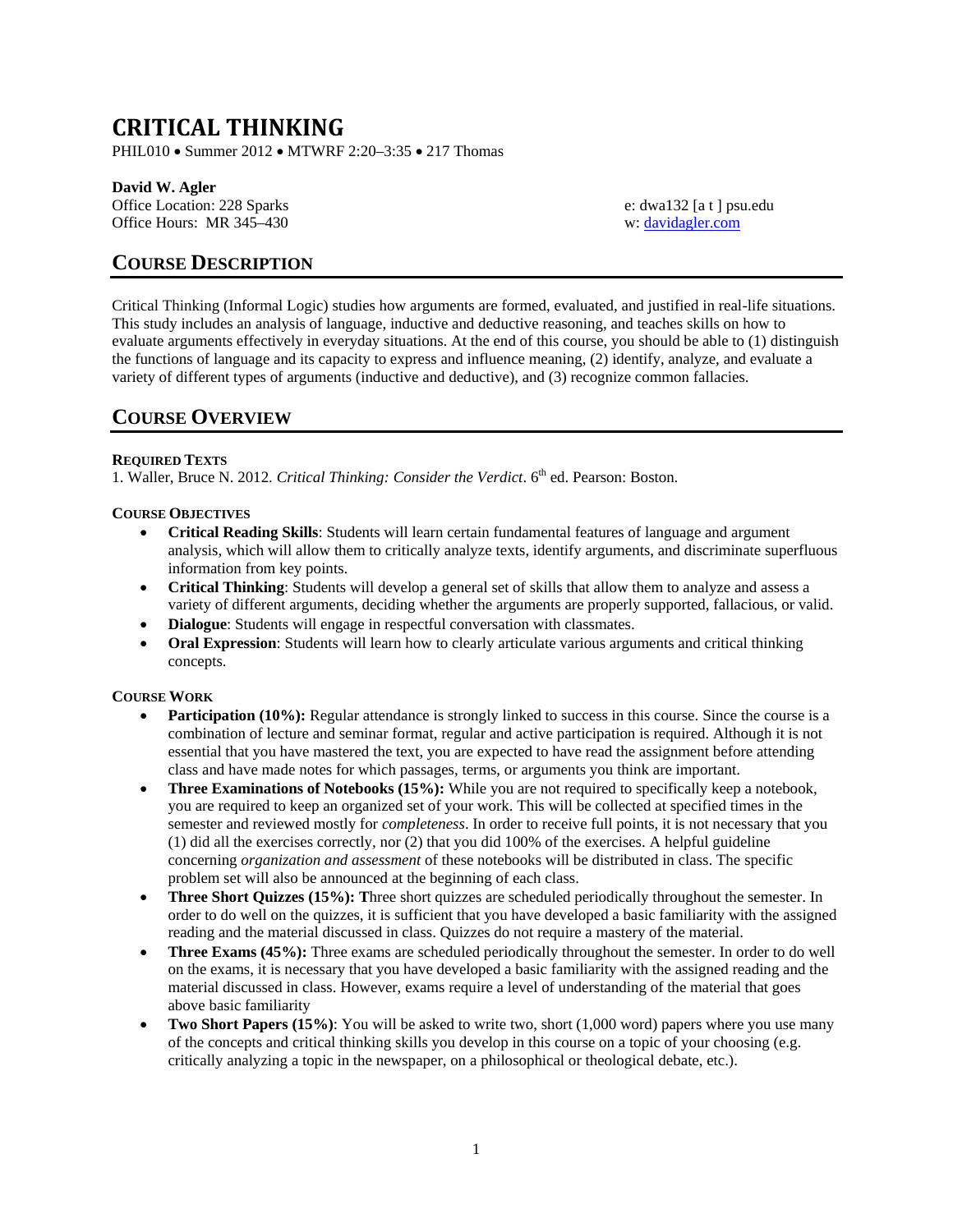# **CRITICAL THINKING**

PHIL010 • Summer 2012 • MTWRF 2:20–3:35 • 217 Thomas

# **David W. Agler**

Office Location: 228 Sparks e: dwa132 [a t ] psu.edu Office Hours: MR 345-430 w: [davidagler.com](http://www.davidagler.com/teaching/logic.html)

# **COURSE DESCRIPTION**

Critical Thinking (Informal Logic) studies how arguments are formed, evaluated, and justified in real-life situations. This study includes an analysis of language, inductive and deductive reasoning, and teaches skills on how to evaluate arguments effectively in everyday situations. At the end of this course, you should be able to (1) distinguish the functions of language and its capacity to express and influence meaning, (2) identify, analyze, and evaluate a variety of different types of arguments (inductive and deductive), and (3) recognize common fallacies.

# **COURSE OVERVIEW**

# **REQUIRED TEXTS**

1. Waller, Bruce N. 2012. *Critical Thinking: Consider the Verdict*. 6<sup>th</sup> ed. Pearson: Boston.

# **COURSE OBJECTIVES**

- **Critical Reading Skills**: Students will learn certain fundamental features of language and argument analysis, which will allow them to critically analyze texts, identify arguments, and discriminate superfluous information from key points.
- **Critical Thinking**: Students will develop a general set of skills that allow them to analyze and assess a variety of different arguments, deciding whether the arguments are properly supported, fallacious, or valid.
- **Dialogue**: Students will engage in respectful conversation with classmates.
- **Oral Expression**: Students will learn how to clearly articulate various arguments and critical thinking concepts.

# **COURSE WORK**

- **Participation (10%):** Regular attendance is strongly linked to success in this course. Since the course is a combination of lecture and seminar format, regular and active participation is required. Although it is not essential that you have mastered the text, you are expected to have read the assignment before attending class and have made notes for which passages, terms, or arguments you think are important.
- **Three Examinations of Notebooks (15%):** While you are not required to specifically keep a notebook, you are required to keep an organized set of your work. This will be collected at specified times in the semester and reviewed mostly for *completeness*. In order to receive full points, it is not necessary that you (1) did all the exercises correctly, nor (2) that you did 100% of the exercises. A helpful guideline concerning *organization and assessment* of these notebooks will be distributed in class. The specific problem set will also be announced at the beginning of each class.
- **Three Short Quizzes (15%): T**hree short quizzes are scheduled periodically throughout the semester. In order to do well on the quizzes, it is sufficient that you have developed a basic familiarity with the assigned reading and the material discussed in class. Quizzes do not require a mastery of the material.
- **Three Exams (45%):** Three exams are scheduled periodically throughout the semester. In order to do well on the exams, it is necessary that you have developed a basic familiarity with the assigned reading and the material discussed in class. However, exams require a level of understanding of the material that goes above basic familiarity
- **Two Short Papers (15%)**: You will be asked to write two, short (1,000 word) papers where you use many of the concepts and critical thinking skills you develop in this course on a topic of your choosing (e.g. critically analyzing a topic in the newspaper, on a philosophical or theological debate, etc.).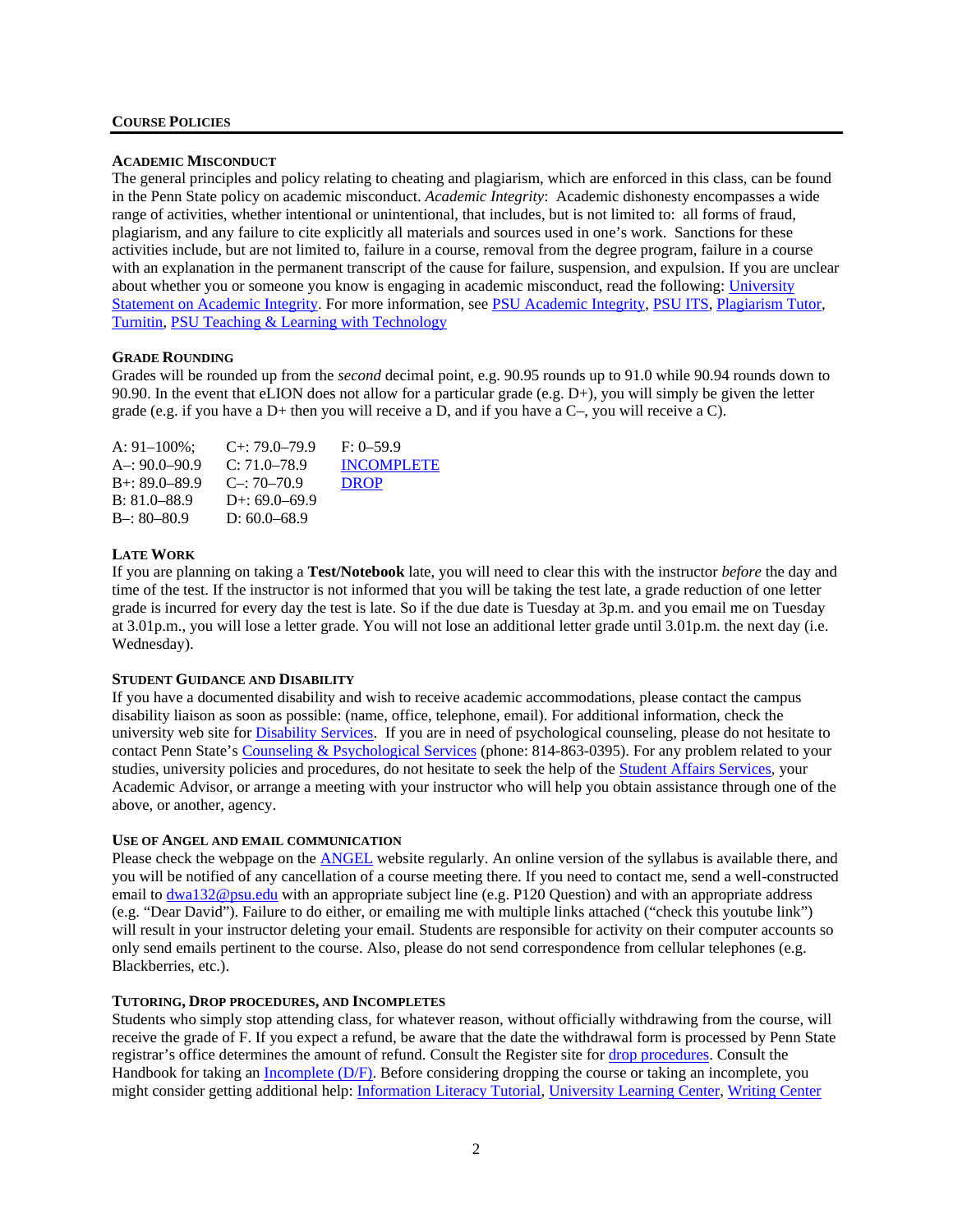# **COURSE POLICIES**

#### **ACADEMIC MISCONDUCT**

The general principles and policy relating to cheating and plagiarism, which are enforced in this class, can be found in the Penn State policy on academic misconduct. *Academic Integrity*: Academic dishonesty encompasses a wide range of activities, whether intentional or unintentional, that includes, but is not limited to: all forms of fraud, plagiarism, and any failure to cite explicitly all materials and sources used in one's work. Sanctions for these activities include, but are not limited to, failure in a course, removal from the degree program, failure in a course with an explanation in the permanent transcript of the cause for failure, suspension, and expulsion. If you are unclear about whether you or someone you know is engaging in academic misconduct, read the following: [University](http://www.psu.edu/dept/ufs/policies/47-00.html#49-20)  [Statement on Academic Integrity.](http://www.psu.edu/dept/ufs/policies/47-00.html#49-20) For more information, see [PSU Academic Integrity,](http://www.psu.edu/ufs/policies) PSU ITS, [Plagiarism Tutor,](http://www.libraries.psu.edu/instruction/infolit/andyou/mod9/plagiarism.htm) [Turnitin,](http://tlt.its.psu.edu/turnitin) [PSU Teaching & Learning with](http://tlt.its.psu.edu/suggestions/cyberplag/) Technology

#### **GRADE ROUNDING**

Grades will be rounded up from the *second* decimal point, e.g. 90.95 rounds up to 91.0 while 90.94 rounds down to 90.90. In the event that eLION does not allow for a particular grade (e.g. D+), you will simply be given the letter grade (e.g. if you have a D+ then you will receive a D, and if you have a C–, you will receive a C).

| A: $91-100\%$ ;   | $C_{+}$ : 79.0–79.9 | $F: 0-59.9$       |
|-------------------|---------------------|-------------------|
| $A = 90.0 - 90.9$ | $C: 71.0 - 78.9$    | <b>INCOMPLETE</b> |
| $B + 89.0 - 89.9$ | $C = 70-70.9$       | <b>DROP</b>       |
| $B: 81.0 - 88.9$  | $D+: 69.0-69.9$     |                   |
| $B - 80 - 80.9$   | D: $60.0 - 68.9$    |                   |

### **LATE WORK**

If you are planning on taking a **Test/Notebook** late, you will need to clear this with the instructor *before* the day and time of the test. If the instructor is not informed that you will be taking the test late, a grade reduction of one letter grade is incurred for every day the test is late. So if the due date is Tuesday at 3p.m. and you email me on Tuesday at 3.01p.m., you will lose a letter grade. You will not lose an additional letter grade until 3.01p.m. the next day (i.e. Wednesday).

#### **STUDENT GUIDANCE AND DISABILITY**

If you have a documented disability and wish to receive academic accommodations, please contact the campus disability liaison as soon as possible: (name, office, telephone, email). For additional information, check the university web site for **Disability Services**. If you are in need of psychological counseling, please do not hesitate to contact Penn State'[s Counseling & Psychological Services](http://www.sa.psu.edu/caps/default.shtml) (phone: 814-863-0395). For any problem related to your studies, university policies and procedures, do not hesitate to seek the help of the **Student Affairs Services**, your Academic Advisor, or arrange a meeting with your instructor who will help you obtain assistance through one of the above, or another, agency.

#### **USE OF ANGEL AND EMAIL COMMUNICATION**

Please check the webpage on the [ANGEL](https://cms.psu.edu/frames.aspx) website regularly. An online version of the syllabus is available there, and you will be notified of any cancellation of a course meeting there. If you need to contact me, send a well-constructed email to [dwa132@psu.edu](mailto:dwa132@psu.edu) with an appropriate subject line (e.g. P120 Question) and with an appropriate address (e.g. "Dear David"). Failure to do either, or emailing me with multiple links attached ("check this youtube link") will result in your instructor deleting your email. Students are responsible for activity on their computer accounts so only send emails pertinent to the course. Also, please do not send correspondence from cellular telephones (e.g. Blackberries, etc.).

### **TUTORING, DROP PROCEDURES, AND INCOMPLETES**

Students who simply stop attending class, for whatever reason, without officially withdrawing from the course, will receive the grade of F. If you expect a refund, be aware that the date the withdrawal form is processed by Penn State registrar's office determines the amount of refund. Consult the Register site for [drop procedures.](http://www.registrar.psu.edu/registration/dropping_courses.cfm) Consult the Handbook for taking an [Incomplete \(D/F\).](http://www.psu.edu/dus/handbook/dfgrade.html) Before considering dropping the course or taking an incomplete, you might consider getting additional help: Information [Literacy Tutorial,](http://www.libraries.psu.edu/instruction/infolit/andyou/infoyou.htm) [University Learning Center,](http://php.scripts.psu.edu/dept/ulc/index.php) [Writing Center](http://www.psu.edu/dept/cew/writingcenter/UWC/index2.htm)